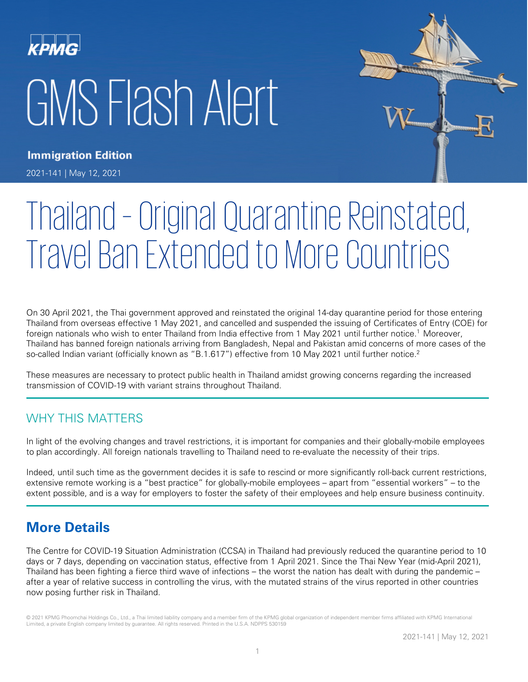# GMS Flash Alert



**Immigration Edition** 2021-141 | May 12, 2021

# Thailand –Original Quarantine Reinstated, Travel Ban Extended to More Countries

On 30 April 2021, the Thai government approved and reinstated the original 14-day quarantine period for those entering Thailand from overseas effective 1 May 2021, and cancelled and suspended the issuing of Certificates of Entry (COE) for foreign nationals who wish to enter Thailand from India effective from 1 May 2021 until further notice.<sup>1</sup> Moreover, Thailand has banned foreign nationals arriving from Bangladesh, Nepal and Pakistan amid concerns of more cases of the so-called Indian variant (officially known as "B.1.617") effective from 10 May 2021 until further notice.<sup>2</sup>

These measures are necessary to protect public health in Thailand amidst growing concerns regarding the increased transmission of COVID-19 with variant strains throughout Thailand.

# WHY THIS MATTERS

In light of the evolving changes and travel restrictions, it is important for companies and their globally-mobile employees to plan accordingly. All foreign nationals travelling to Thailand need to re-evaluate the necessity of their trips.

Indeed, until such time as the government decides it is safe to rescind or more significantly roll-back current restrictions, extensive remote working is a "best practice" for globally-mobile employees – apart from "essential workers" – to the extent possible, and is a way for employers to foster the safety of their employees and help ensure business continuity.

# **More Details**

The Centre for COVID-19 Situation Administration (CCSA) in Thailand had previously reduced the quarantine period to 10 days or 7 days, depending on vaccination status, effective from 1 April 2021. Since the Thai New Year (mid-April 2021), Thailand has been fighting a fierce third wave of infections – the worst the nation has dealt with during the pandemic – after a year of relative success in controlling the virus, with the mutated strains of the virus reported in other countries now posing further risk in Thailand.

© 2021 KPMG Phoomchai Holdings Co., Ltd., a Thai limited liability company and a member firm of the KPMG global organization of independent member firms affiliated with KPMG International Limited, a private English company limited by guarantee. All rights reserved. Printed in the U.S.A. NDPPS 530159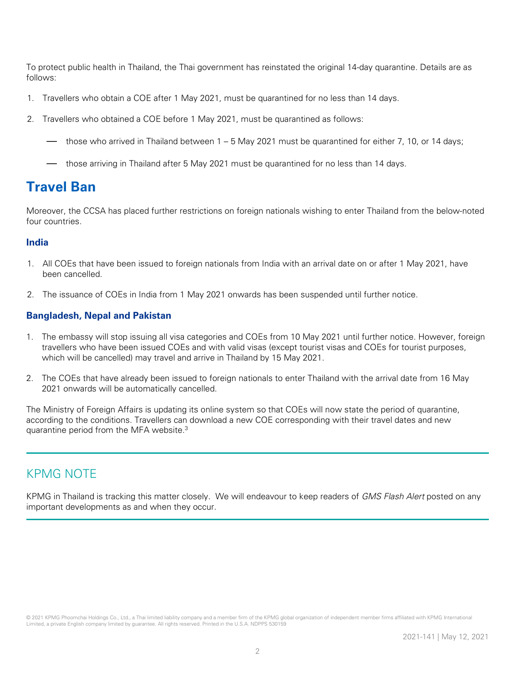To protect public health in Thailand, the Thai government has reinstated the original 14-day quarantine. Details are as follows:

- 1. Travellers who obtain a COE after 1 May 2021, must be quarantined for no less than 14 days.
- 2. Travellers who obtained a COE before 1 May 2021, must be quarantined as follows:
	- those who arrived in Thailand between 1 5 May 2021 must be quarantined for either 7, 10, or 14 days;
	- those arriving in Thailand after 5 May 2021 must be quarantined for no less than 14 days.

# **Travel Ban**

Moreover, the CCSA has placed further restrictions on foreign nationals wishing to enter Thailand from the below-noted four countries.

### **India**

- 1. All COEs that have been issued to foreign nationals from India with an arrival date on or after 1 May 2021, have been cancelled.
- 2. The issuance of COEs in India from 1 May 2021 onwards has been suspended until further notice.

### **Bangladesh, Nepal and Pakistan**

- 1. The embassy will stop issuing all visa categories and COEs from 10 May 2021 until further notice. However, foreign travellers who have been issued COEs and with valid visas (except tourist visas and COEs for tourist purposes, which will be cancelled) may travel and arrive in Thailand by 15 May 2021.
- 2. The COEs that have already been issued to foreign nationals to enter Thailand with the arrival date from 16 May 2021 onwards will be automatically cancelled.

The Ministry of Foreign Affairs is updating its online system so that COEs will now state the period of quarantine, according to the conditions. Travellers can download a new COE corresponding with their travel dates and new quarantine period from the MFA website.3

## KPMG NOTE

KPMG in Thailand is tracking this matter closely. We will endeavour to keep readers of GMS Flash Alert posted on any important developments as and when they occur.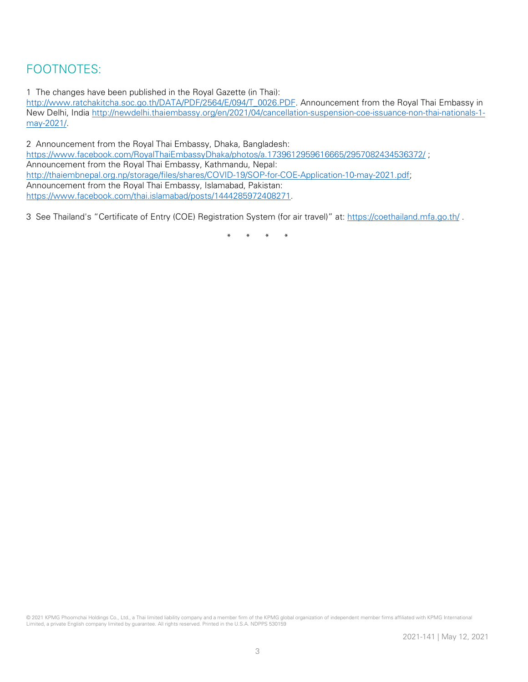# FOOTNOTES:

1 The changes have been published in the Royal Gazette (in Thai):

[http://www.ratchakitcha.soc.go.th/DATA/PDF/2564/E/094/T\\_0026.PDF.](http://www.ratchakitcha.soc.go.th/DATA/PDF/2564/E/094/T_0026.PDF) Announcement from the Royal Thai Embassy in New Delhi, India [http://newdelhi.thaiembassy.org/en/2021/04/cancellation-suspension-coe-issuance-non-thai-nationals-1](http://newdelhi.thaiembassy.org/en/2021/04/cancellation-suspension-coe-issuance-non-thai-nationals-1-may-2021/) [may-2021/.](http://newdelhi.thaiembassy.org/en/2021/04/cancellation-suspension-coe-issuance-non-thai-nationals-1-may-2021/) 

2 Announcement from the Royal Thai Embassy, Dhaka, Bangladesh: <https://www.facebook.com/RoyalThaiEmbassyDhaka/photos/a.1739612959616665/2957082434536372/> ; Announcement from the Royal Thai Embassy, Kathmandu, Nepal: [http://thaiembnepal.org.np/storage/files/shares/COVID-19/SOP-for-COE-Application-10-may-2021.pdf;](http://thaiembnepal.org.np/storage/files/shares/COVID-19/SOP-for-COE-Application-10-may-2021.pdf) Announcement from the Royal Thai Embassy, Islamabad, Pakistan: [https://www.facebook.com/thai.islamabad/posts/1444285972408271.](https://www.facebook.com/thai.islamabad/posts/1444285972408271) 

3 See Thailand's "Certificate of Entry (COE) Registration System (for air travel)" at:<https://coethailand.mfa.go.th/> .

\* \* \* \*